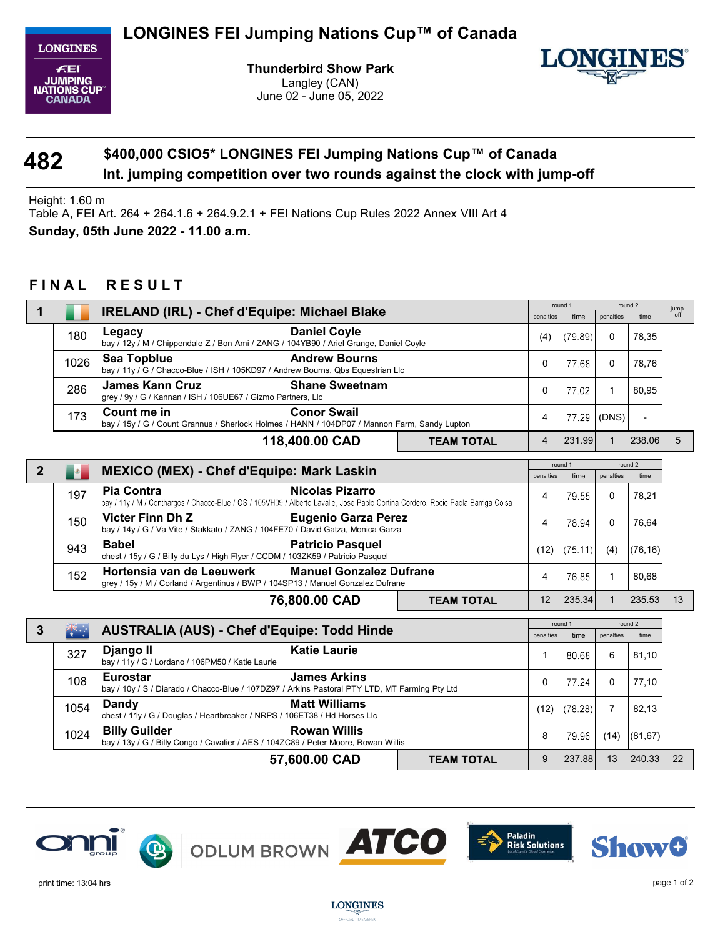

Thunderbird Show Park Langley (CAN) June 02 - June 05, 2022



## 482 Int. jumping competition over two rounds against the clock with jump-off \$400,000 CSIO5\* LONGINES FEI Jumping Nations Cup™ of Canada

Height: 1.60 m

Table A, FEI Art. 264 + 264.1.6 + 264.9.2.1 + FEI Nations Cup Rules 2022 Annex VIII Art 4 Sunday, 05th June 2022 - 11.00 a.m.

## FINAL RESULT

|                |           | <b>IRELAND (IRL) - Chef d'Equipe: Michael Blake</b>                                                                                                                                                                                                   |                   | round 1      |         | round 2      |                | jump- |
|----------------|-----------|-------------------------------------------------------------------------------------------------------------------------------------------------------------------------------------------------------------------------------------------------------|-------------------|--------------|---------|--------------|----------------|-------|
|                |           |                                                                                                                                                                                                                                                       |                   | penalties    | time    | penalties    | time           | off   |
|                | 180       | <b>Daniel Coyle</b><br>Legacy<br>bay / 12y / M / Chippendale Z / Bon Ami / ZANG / 104YB90 / Ariel Grange, Daniel Coyle                                                                                                                                |                   | (4)          | (79.89) | 0            | 78,35          |       |
|                | 1026      | <b>Andrew Bourns</b><br>Sea Topblue<br>bay / 11y / G / Chacco-Blue / ISH / 105KD97 / Andrew Bourns, Qbs Equestrian Llc                                                                                                                                |                   | 0            | 77.68   | $\Omega$     | 78.76          |       |
|                | 286       | <b>James Kann Cruz</b><br><b>Shane Sweetnam</b><br>grey / 9y / G / Kannan / ISH / 106UE67 / Gizmo Partners, Llc                                                                                                                                       |                   | $\mathbf{0}$ | 77.02   | 1            | 80,95          |       |
|                | 173       | <b>Conor Swail</b><br>Count me in<br>bay / 15y / G / Count Grannus / Sherlock Holmes / HANN / 104DP07 / Mannon Farm, Sandy Lupton                                                                                                                     |                   | 4            | 77.29   | (DNS)        | $\blacksquare$ |       |
|                |           | 118,400.00 CAD                                                                                                                                                                                                                                        | <b>TEAM TOTAL</b> | 4            | 231.99  | $\mathbf{1}$ | 238.06         | 5     |
|                |           |                                                                                                                                                                                                                                                       |                   |              | round 1 |              | round 2        |       |
| $\overline{2}$ | $\bullet$ | <b>MEXICO (MEX) - Chef d'Equipe: Mark Laskin</b>                                                                                                                                                                                                      |                   | penalties    | time    | penalties    | time           |       |
|                | 197       | <b>Pia Contra</b><br><b>Nicolas Pizarro</b><br>bay / 11y / M / Conthargos / Chacco-Blue / OS / 105VH09 / Alberto Lavalle, Jose Pablo Cortina Cordero, Rocio Paola Barriga Colsa                                                                       |                   | 4            | 79.55   | 0            | 78,21          |       |
|                | 150       | <b>Victer Finn Dh Z</b><br><b>Eugenio Garza Perez</b><br>bay / 14y / G / Va Vite / Stakkato / ZANG / 104FE70 / David Gatza, Monica Garza                                                                                                              |                   | 4            | 78.94   | $\mathbf 0$  | 76,64          |       |
|                | 943       | <b>Babel</b><br><b>Patricio Pasquel</b><br>chest / 15y / G / Billy du Lys / High Flyer / CCDM / 103ZK59 / Patricio Pasquel                                                                                                                            |                   | (12)         | (75.11) | (4)          | (76, 16)       |       |
|                | 152       | Hortensia van de Leeuwerk<br><b>Manuel Gonzalez Dufrane</b><br>grey / 15y / M / Corland / Argentinus / BWP / 104SP13 / Manuel Gonzalez Dufrane                                                                                                        |                   | 4            | 76.85   | 1            | 80,68          |       |
|                |           | 76,800.00 CAD                                                                                                                                                                                                                                         | <b>TEAM TOTAL</b> | 12           | 235.34  | $\mathbf{1}$ | 235.53         | 13    |
|                |           |                                                                                                                                                                                                                                                       |                   |              | round 1 |              | round 2        |       |
| $\mathbf{3}$   |           | <b>AUSTRALIA (AUS) - Chef d'Equipe: Todd Hinde</b>                                                                                                                                                                                                    |                   | penalties    | time    | penalties    | time           |       |
|                | 327       | <b>Katie Laurie</b><br>Django II<br>bay / 11y / G / Lordano / 106PM50 / Katie Laurie                                                                                                                                                                  |                   | 1            | 80.68   | 6            | 81,10          |       |
|                | 108       | <b>James Arkins</b><br><b>Eurostar</b><br>bay / 10y / S / Diarado / Chacco-Blue / 107DZ97 / Arkins Pastoral PTY LTD, MT Farming Pty Ltd<br><b>Matt Williams</b><br>Dandy<br>chest / 11y / G / Douglas / Heartbreaker / NRPS / 106ET38 / Hd Horses Llc |                   | 0            | 77.24   | $\mathbf{0}$ | 77,10          |       |
|                | 1054      |                                                                                                                                                                                                                                                       |                   | (12)         | (78.28) | 7            | 82,13          |       |
|                | 1024      | <b>Billy Guilder</b><br><b>Rowan Willis</b><br>bay / 13y / G / Billy Congo / Cavalier / AES / 104ZC89 / Peter Moore, Rowan Willis                                                                                                                     |                   | 8            | 79.96   | (14)         | (81, 67)       |       |
|                |           | 57,600.00 CAD                                                                                                                                                                                                                                         | <b>TEAM TOTAL</b> | 9            | 237.88  | 13           | 240.33         | 22    |





**LONGINES** OFFICIAL TIMEKEEPER